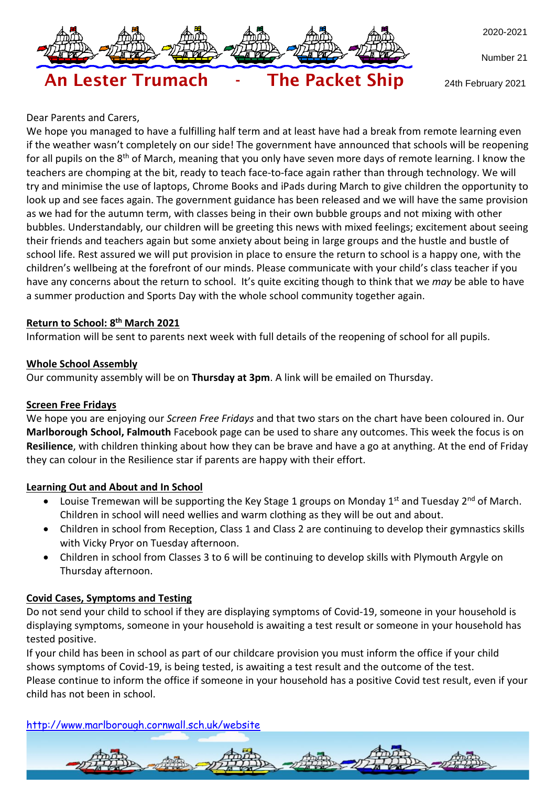

Number 21

24th February 2021

#### Dear Parents and Carers,

We hope you managed to have a fulfilling half term and at least have had a break from remote learning even if the weather wasn't completely on our side! The government have announced that schools will be reopening for all pupils on the 8<sup>th</sup> of March, meaning that you only have seven more days of remote learning. I know the teachers are chomping at the bit, ready to teach face-to-face again rather than through technology. We will try and minimise the use of laptops, Chrome Books and iPads during March to give children the opportunity to look up and see faces again. The government guidance has been released and we will have the same provision as we had for the autumn term, with classes being in their own bubble groups and not mixing with other bubbles. Understandably, our children will be greeting this news with mixed feelings; excitement about seeing their friends and teachers again but some anxiety about being in large groups and the hustle and bustle of school life. Rest assured we will put provision in place to ensure the return to school is a happy one, with the children's wellbeing at the forefront of our minds. Please communicate with your child's class teacher if you have any concerns about the return to school. It's quite exciting though to think that we *may* be able to have a summer production and Sports Day with the whole school community together again.

### **Return to School: 8 th March 2021**

Information will be sent to parents next week with full details of the reopening of school for all pupils.

### **Whole School Assembly**

Our community assembly will be on **Thursday at 3pm**. A link will be emailed on Thursday.

An Lester Trumach - The Packet Ship

#### **Screen Free Fridays**

We hope you are enjoying our *Screen Free Fridays* and that two stars on the chart have been coloured in. Our **Marlborough School, Falmouth** Facebook page can be used to share any outcomes. This week the focus is on **Resilience**, with children thinking about how they can be brave and have a go at anything. At the end of Friday they can colour in the Resilience star if parents are happy with their effort.

### **Learning Out and About and In School**

- Louise Tremewan will be supporting the Key Stage 1 groups on Monday 1<sup>st</sup> and Tuesday 2<sup>nd</sup> of March. Children in school will need wellies and warm clothing as they will be out and about.
- Children in school from Reception, Class 1 and Class 2 are continuing to develop their gymnastics skills with Vicky Pryor on Tuesday afternoon.
- Children in school from Classes 3 to 6 will be continuing to develop skills with Plymouth Argyle on Thursday afternoon.

### **Covid Cases, Symptoms and Testing**

Do not send your child to school if they are displaying symptoms of Covid-19, someone in your household is displaying symptoms, someone in your household is awaiting a test result or someone in your household has tested positive.

If your child has been in school as part of our childcare provision you must inform the office if your child shows symptoms of Covid-19, is being tested, is awaiting a test result and the outcome of the test. Please continue to inform the office if someone in your household has a positive Covid test result, even if your child has not been in school.

<http://www.marlborough.cornwall.sch.uk/website>